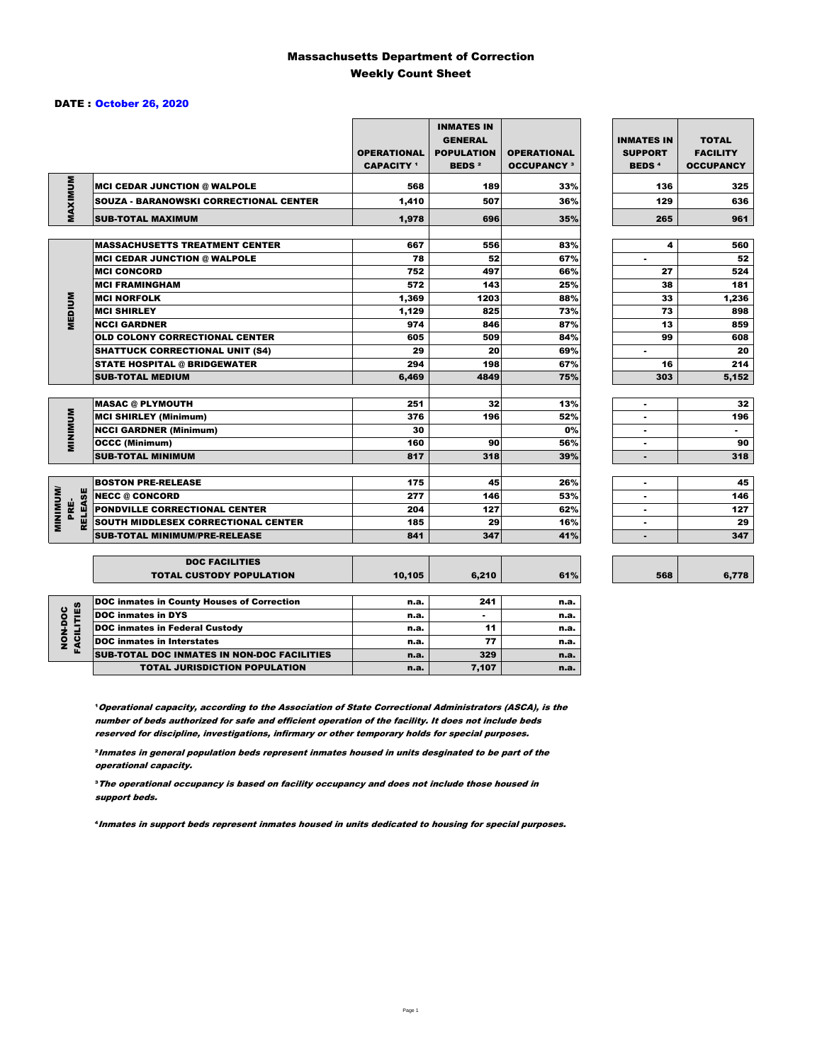### Massachusetts Department of Correction Weekly Count Sheet

#### DATE : October 26, 2020

|                                   |                                               | <b>OPERATIONAL</b><br><b>CAPACITY</b> 1 | <b>INMATES IN</b><br><b>GENERAL</b><br><b>POPULATION</b><br><b>BEDS<sup>2</sup></b> | <b>OPERATIONAL</b><br><b>OCCUPANCY 3</b> | <b>INMATES IN</b><br><b>SUPPORT</b><br><b>BEDS<sup>4</sup></b> | <b>TOTAL</b><br><b>FACILITY</b><br><b>OCCUPANCY</b> |
|-----------------------------------|-----------------------------------------------|-----------------------------------------|-------------------------------------------------------------------------------------|------------------------------------------|----------------------------------------------------------------|-----------------------------------------------------|
|                                   | <b>MCI CEDAR JUNCTION @ WALPOLE</b>           | 568                                     | 189                                                                                 | 33%                                      | 136                                                            | 325                                                 |
|                                   | <b>SOUZA - BARANOWSKI CORRECTIONAL CENTER</b> | 1,410                                   | 507                                                                                 | 36%                                      | 129                                                            | 636                                                 |
| MAXIMUM                           | <b>SUB-TOTAL MAXIMUM</b>                      | 1.978                                   | 696                                                                                 | 35%                                      | 265                                                            | 961                                                 |
|                                   |                                               |                                         |                                                                                     |                                          |                                                                |                                                     |
|                                   | <b>MASSACHUSETTS TREATMENT CENTER</b>         | 667                                     | 556                                                                                 | 83%                                      | 4                                                              | 560                                                 |
|                                   | <b>MCI CEDAR JUNCTION @ WALPOLE</b>           | 78                                      | 52                                                                                  | 67%                                      | ٠                                                              | 52                                                  |
|                                   | <b>MCI CONCORD</b>                            | 752                                     | 497                                                                                 | 66%                                      | 27                                                             | 524                                                 |
|                                   | <b>MCI FRAMINGHAM</b>                         | 572                                     | 143                                                                                 | 25%                                      | 38                                                             | 181                                                 |
|                                   | <b>MCI NORFOLK</b>                            | 1,369                                   | 1203                                                                                | 88%                                      | 33                                                             | 1,236                                               |
| <b>MEDIUM</b>                     | <b>MCI SHIRLEY</b>                            | 1,129                                   | 825                                                                                 | 73%                                      | 73                                                             | 898                                                 |
|                                   | <b>NCCI GARDNER</b>                           | 974                                     | 846                                                                                 | 87%                                      | 13                                                             | 859                                                 |
|                                   | <b>OLD COLONY CORRECTIONAL CENTER</b>         | 605                                     | 509                                                                                 | 84%                                      | 99                                                             | 608                                                 |
|                                   | <b>SHATTUCK CORRECTIONAL UNIT (S4)</b>        | 29                                      | 20                                                                                  | 69%                                      | ٠                                                              | 20                                                  |
|                                   | <b>STATE HOSPITAL @ BRIDGEWATER</b>           | 294                                     | 198                                                                                 | 67%                                      | 16                                                             | 214                                                 |
|                                   | <b>SUB-TOTAL MEDIUM</b>                       | 6,469                                   | 4849                                                                                | 75%                                      | 303                                                            | 5,152                                               |
|                                   | <b>MASAC @ PLYMOUTH</b>                       | 251                                     | 32                                                                                  | 13%                                      | ٠                                                              | 32                                                  |
|                                   | <b>MCI SHIRLEY (Minimum)</b>                  | 376                                     | 196                                                                                 | 52%                                      |                                                                | 196                                                 |
| <b>MINIMUM</b>                    | <b>NCCI GARDNER (Minimum)</b>                 | 30                                      |                                                                                     | 0%                                       | ٠                                                              | $\sim$                                              |
|                                   | <b>OCCC (Minimum)</b>                         | 160                                     | 90                                                                                  | 56%                                      | $\blacksquare$                                                 | 90                                                  |
|                                   | <b>SUB-TOTAL MINIMUM</b>                      | 817                                     | 318                                                                                 | 39%                                      | ۰                                                              | 318                                                 |
|                                   |                                               |                                         |                                                                                     |                                          |                                                                |                                                     |
|                                   | <b>BOSTON PRE-RELEASE</b>                     | 175                                     | 45                                                                                  | 26%                                      | $\blacksquare$                                                 | 45                                                  |
| <b>MINIMIMU</b><br><b>RELEASE</b> | <b>NECC @ CONCORD</b>                         | 277                                     | 146                                                                                 | 53%                                      | ٠                                                              | 146                                                 |
| PRE-                              | <b>PONDVILLE CORRECTIONAL CENTER</b>          | 204                                     | 127                                                                                 | 62%                                      | ٠                                                              | 127                                                 |
|                                   | SOUTH MIDDLESEX CORRECTIONAL CENTER           | 185                                     | 29                                                                                  | 16%                                      | $\blacksquare$                                                 | 29                                                  |
|                                   | <b>SUB-TOTAL MINIMUM/PRE-RELEASE</b>          | 841                                     | 347                                                                                 | 41%                                      |                                                                | 347                                                 |
|                                   | <b>DOC FACILITIES</b>                         |                                         |                                                                                     |                                          |                                                                |                                                     |
|                                   | <b>TOTAL CUSTODY POPULATION</b>               | 10,105                                  | 6,210                                                                               | 61%                                      | 568                                                            | 6,778                                               |
|                                   | DOC inmates in County Houses of Correction    | n.a.                                    | 241                                                                                 | n.a.                                     |                                                                |                                                     |
| <b>FACILITIES</b>                 | <b>DOC</b> inmates in DYS                     | n.a.                                    | $\blacksquare$                                                                      | n.a.                                     |                                                                |                                                     |
| NON-DOC                           | <b>DOC inmates in Federal Custody</b>         | n.a.                                    | 11                                                                                  | n.a.                                     |                                                                |                                                     |
|                                   | <b>DOC</b> inmates in Interstates             | n.a.                                    | 77                                                                                  | n.a.                                     |                                                                |                                                     |
|                                   | CUB TOTAL BOO INIMETED IN NON-BOO FAOILITIED  |                                         | $\sim$                                                                              |                                          |                                                                |                                                     |

6,778

**Operational capacity, according to the Association of State Correctional Administrators (ASCA), is the** number of beds authorized for safe and efficient operation of the facility. It does not include beds reserved for discipline, investigations, infirmary or other temporary holds for special purposes.

SUB-TOTAL DOC INMATES IN NON-DOC FACILITIES n.a. 329 n.a. TOTAL JURISDICTION POPULATION **n.a.** 7,107 n.a.

²Inmates in general population beds represent inmates housed in units desginated to be part of the operational capacity.

³The operational occupancy is based on facility occupancy and does not include those housed in support beds.

⁴Inmates in support beds represent inmates housed in units dedicated to housing for special purposes.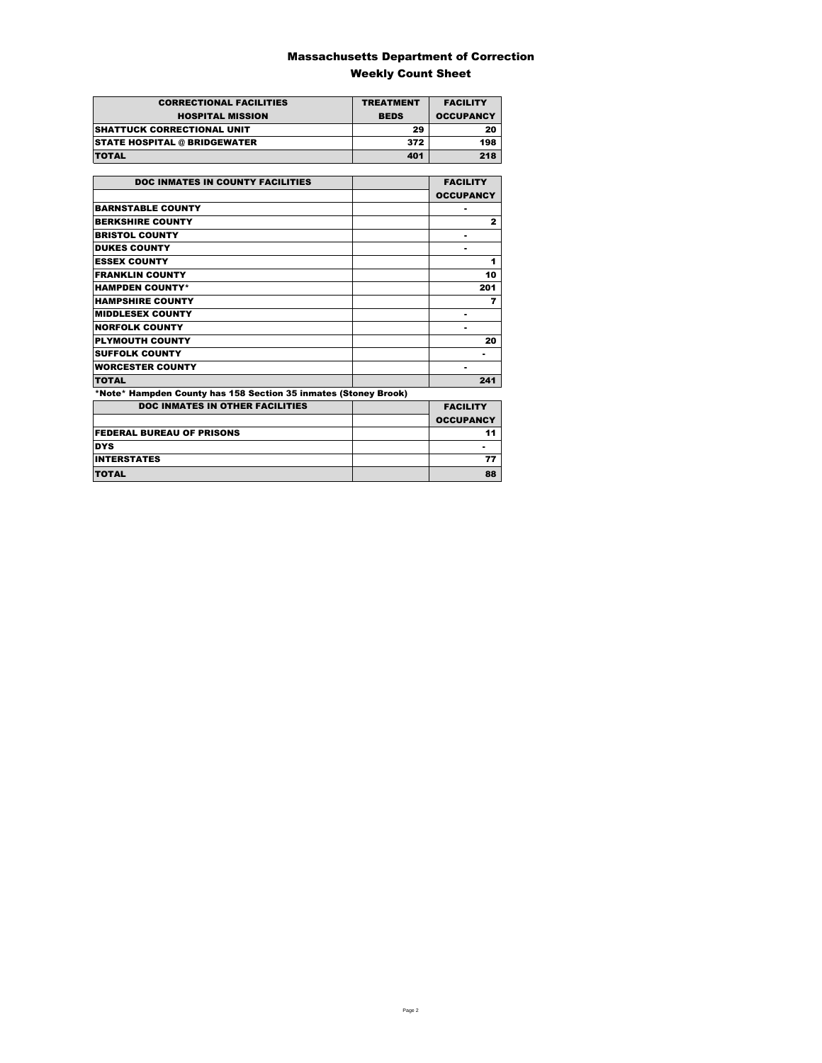### Massachusetts Department of Correction Weekly Count Sheet

| <b>CORRECTIONAL FACILITIES</b>      | <b>TREATMENT</b> | <b>FACILITY</b>  |
|-------------------------------------|------------------|------------------|
| <b>HOSPITAL MISSION</b>             | <b>BEDS</b>      | <b>OCCUPANCY</b> |
| <b>SHATTUCK CORRECTIONAL UNIT</b>   | 29               | 20               |
| <b>STATE HOSPITAL @ BRIDGEWATER</b> | 372              | 198              |
| <b>TOTAL</b>                        | 401              | 218              |

| <b>DOC INMATES IN COUNTY FACILITIES</b>                         | <b>FACILITY</b>  |
|-----------------------------------------------------------------|------------------|
|                                                                 | <b>OCCUPANCY</b> |
| <b>BARNSTABLE COUNTY</b>                                        |                  |
| <b>BERKSHIRE COUNTY</b>                                         | $\mathbf{z}$     |
| <b>BRISTOL COUNTY</b>                                           |                  |
| <b>DUKES COUNTY</b>                                             |                  |
| <b>ESSEX COUNTY</b>                                             | 1                |
| <b>FRANKLIN COUNTY</b>                                          | 10               |
| <b>HAMPDEN COUNTY*</b>                                          | 201              |
| <b>HAMPSHIRE COUNTY</b>                                         | 7                |
| <b>MIDDLESEX COUNTY</b>                                         |                  |
| <b>NORFOLK COUNTY</b>                                           | -                |
| <b>PLYMOUTH COUNTY</b>                                          | 20               |
| <b>SUFFOLK COUNTY</b>                                           |                  |
| <b>WORCESTER COUNTY</b>                                         |                  |
| <b>TOTAL</b>                                                    | 241              |
| *Note* Hampden County has 158 Section 35 inmates (Stoney Brook) |                  |
| <b>DOC INMATES IN OTHER FACILITIES</b>                          | <b>FACILITY</b>  |
|                                                                 | <b>OCCUPANCY</b> |
| <b>FEDERAL BUREAU OF PRISONS</b>                                | 11               |
| <b>DYS</b>                                                      |                  |
| <b>INTERSTATES</b>                                              | 77               |
| <b>TOTAL</b>                                                    | 88               |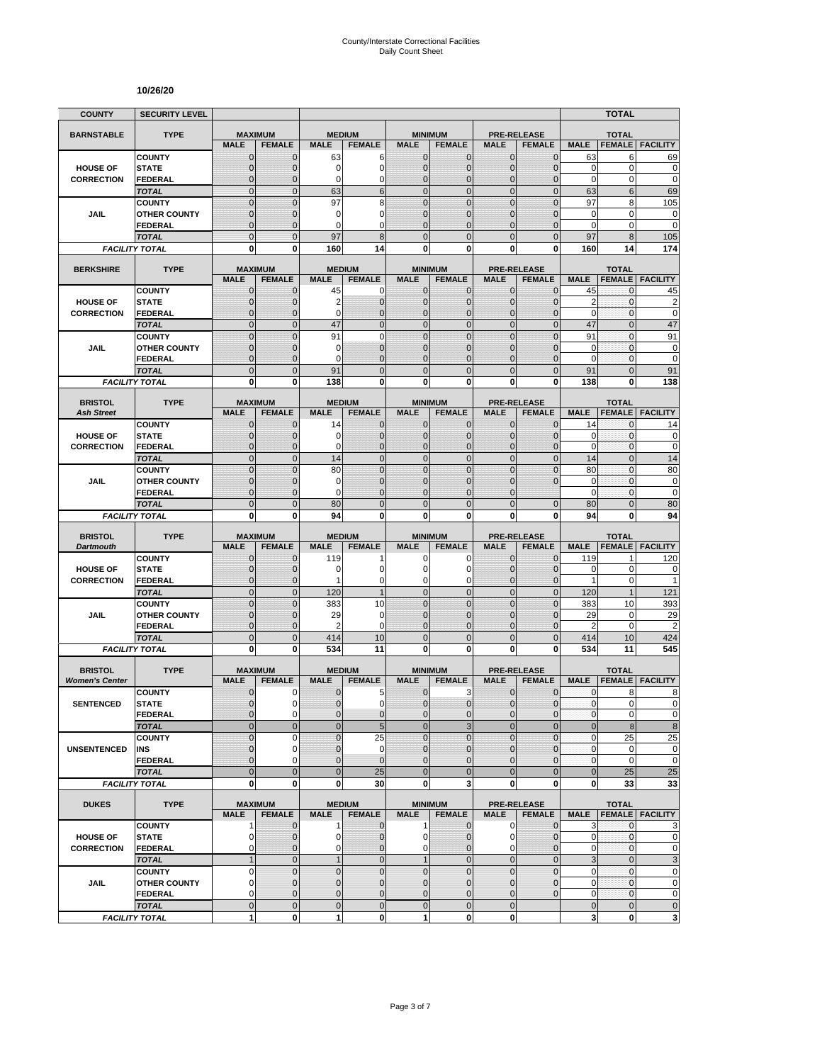#### **10/26/20**

| <b>COUNTY</b>                           | <b>SECURITY LEVEL</b>                 |                                  |                              |                             |                                  |                                |                                  |                                |                                     |                            | <b>TOTAL</b>                     |                             |
|-----------------------------------------|---------------------------------------|----------------------------------|------------------------------|-----------------------------|----------------------------------|--------------------------------|----------------------------------|--------------------------------|-------------------------------------|----------------------------|----------------------------------|-----------------------------|
| <b>BARNSTABLE</b>                       | <b>TYPE</b>                           | <b>MAXIMUM</b>                   |                              | <b>MEDIUM</b>               |                                  |                                | <b>MINIMUM</b>                   |                                | <b>PRE-RELEASE</b>                  |                            | <b>TOTAL</b>                     |                             |
|                                         |                                       | <b>MALE</b>                      | <b>FEMALE</b>                | <b>MALE</b>                 | <b>FEMALE</b>                    | <b>MALE</b>                    | <b>FEMALE</b>                    | <b>MALE</b>                    | <b>FEMALE</b>                       | <b>MALE</b>                | <b>FEMALE</b>                    | <b>FACILITY</b>             |
|                                         | <b>COUNTY</b>                         | $\mathbf 0$                      | $\mathbf{0}$                 | 63                          | 6                                | $\mathbf 0$                    | 0                                | $\mathbf{0}$                   | $\mathbf{0}$                        | 63                         | 6                                | 69                          |
| <b>HOUSE OF</b>                         | <b>STATE</b>                          | $\overline{0}$                   | $\mathbf 0$                  | 0<br>0                      | $\overline{0}$<br>0              | $\mathbf 0$<br>$\mathbf{0}$    | $\overline{0}$                   | $\mathbf{0}$                   | $\overline{0}$                      | $\mathbf 0$<br>$\mathbf 0$ | $\mathbf 0$<br>0                 | $\mathbf 0$<br>$\mathbf 0$  |
| <b>CORRECTION</b>                       | FEDERAL<br><b>TOTAL</b>               | $\mathbf 0$<br>$\mathbf 0$       | $\mathbf{0}$<br>$\mathbf{0}$ | 63                          | 6                                | $\overline{0}$                 | $\mathbf 0$<br>$\mathbf 0$       | $\mathbf 0$<br>$\mathbf{0}$    | $\overline{0}$<br>$\mathbf 0$       | 63                         | 6                                | 69                          |
|                                         | <b>COUNTY</b>                         | $\mathbf 0$                      | $\mathbf{0}$                 | 97                          | 8                                | $\overline{0}$                 | $\mathbf 0$                      | $\mathbf 0$                    | $\overline{0}$                      | 97                         | 8                                | 105                         |
| JAIL                                    | <b>OTHER COUNTY</b>                   | $\mathbf 0$                      | $\mathbf 0$                  | 0                           | 0                                | $\mathbf{0}$                   | $\overline{0}$                   | $\mathbf 0$                    | $\overline{0}$                      | $\mathbf 0$                | $\mathbf 0$                      | $\mathbf 0$                 |
|                                         | <b>FEDERAL</b>                        | $\overline{0}$                   | $\mathbf{0}$                 | 0                           | $\Omega$                         | $\Omega$                       | $\overline{0}$                   | $\Omega$                       | $\overline{0}$                      | $\mathbf 0$                | 0                                | $\mathbf 0$                 |
|                                         | <b>TOTAL</b>                          | $\overline{0}$                   | $\Omega$                     | 97                          | 8                                | $\Omega$                       | $\overline{0}$                   | $\Omega$                       | $\overline{0}$                      | 97                         | 8                                | 105                         |
|                                         | <b>FACILITY TOTAL</b>                 | 0                                | 0                            | 160                         | 14                               | $\mathbf{0}$                   | 0                                | 0                              | 0                                   | 160                        | 14                               | 174                         |
| <b>BERKSHIRE</b>                        | <b>TYPE</b>                           | <b>MAXIMUM</b>                   |                              |                             | <b>MEDIUM</b>                    |                                | <b>MINIMUM</b>                   |                                | <b>PRE-RELEASE</b>                  |                            | <b>TOTAL</b>                     |                             |
|                                         |                                       | <b>MALE</b>                      | <b>FEMALE</b>                | <b>MALE</b>                 | <b>FEMALE</b>                    | <b>MALE</b>                    | <b>FEMALE</b>                    | <b>MALE</b>                    | <b>FEMALE</b>                       | <b>MALE</b>                | <b>FEMALE</b>                    | <b>FACILITY</b>             |
|                                         | <b>COUNTY</b>                         | $\mathbf{0}$                     | $\mathbf 0$                  | 45                          | 0                                | $\mathbf{0}$                   | $\mathbf{0}$                     | $\mathbf{0}$                   | $\mathbf 0$                         | 45                         | 0                                | 45                          |
| <b>HOUSE OF</b>                         | <b>STATE</b>                          | 0                                | $\mathbf{0}$                 | 2                           | $\mathbf 0$                      | $\mathbf{0}$                   | $\mathbf 0$                      | $\mathbf{0}$                   | $\mathbf{0}$                        | $\overline{2}$             | 0                                | $\overline{c}$              |
| <b>CORRECTION</b>                       | <b>FEDERAL</b><br><b>TOTAL</b>        | $\mathbf 0$<br>$\overline{0}$    | $\mathbf 0$<br>$\mathbf{0}$  | 0<br>47                     | $\overline{0}$<br>$\overline{0}$ | $\mathbf{0}$<br>$\overline{0}$ | $\overline{0}$<br>$\overline{0}$ | $\mathbf{0}$<br>$\mathbf{0}$   | $\mathbf 0$<br>$\overline{0}$       | $\mathbf 0$<br>47          | 0<br>$\overline{0}$              | $\mathbf 0$<br>47           |
|                                         | <b>COUNTY</b>                         | $\overline{0}$                   | $\overline{0}$               | 91                          | $\mathbf 0$                      | $\overline{0}$                 | $\overline{0}$                   | $\overline{0}$                 | $\overline{0}$                      | 91                         | $\mathbf{0}$                     | 91                          |
| JAIL                                    | <b>OTHER COUNTY</b>                   | 0                                | $\mathbf{0}$                 | 0                           | $\overline{0}$                   | $\mathbf{0}$                   | $\overline{0}$                   | $\Omega$                       | $\mathbf{0}$                        | $\mathbf 0$                | $\mathbf{0}$                     | $\pmb{0}$                   |
|                                         | <b>FEDERAL</b>                        | $\mathbf 0$                      | $\mathbf{0}$                 | 0                           | $\overline{0}$                   | $\mathbf{0}$                   | $\overline{0}$                   | $\mathbf 0$                    | $\overline{0}$                      | $\mathbf 0$                | $\mathbf{0}$                     | $\mathbf 0$                 |
|                                         | <b>TOTAL</b>                          | $\mathbf 0$                      | $\mathbf{0}$                 | 91                          | $\overline{0}$                   | $\mathbf{0}$                   | $\mathbf 0$                      | $\mathbf{0}$                   | $\mathbf 0$                         | 91                         | $\overline{0}$                   | 91                          |
|                                         | <b>FACILITY TOTAL</b>                 | 0                                | $\mathbf{0}$                 | 138                         | 0                                | 0                              | $\bf{0}$                         | 0                              | 0                                   | 138                        | 0                                | 138                         |
| <b>BRISTOL</b>                          | <b>TYPE</b>                           | <b>MAXIMUM</b>                   |                              |                             | <b>MEDIUM</b>                    |                                | <b>MINIMUM</b>                   |                                | <b>PRE-RELEASE</b>                  |                            | <b>TOTAL</b>                     |                             |
| <b>Ash Street</b>                       |                                       | <b>MALE</b>                      | <b>FEMALE</b>                | <b>MALE</b>                 | <b>FEMALE</b>                    | <b>MALE</b>                    | <b>FEMALE</b>                    | <b>MALE</b>                    | <b>FEMALE</b>                       | <b>MALE</b>                | <b>FEMALE</b>                    | <b>FACILITY</b>             |
|                                         | <b>COUNTY</b>                         | 0                                | $\mathbf{0}$                 | 14                          | 0                                | $\mathbf 0$                    | 0                                | $\mathbf{0}$                   | $\mathbf{0}$                        | 14                         | 0                                | 14                          |
| <b>HOUSE OF</b>                         | <b>STATE</b>                          | $\mathbf{0}$                     | $\mathbf{0}$                 | 0                           | $\mathbf 0$                      | $\mathbf{0}$                   | $\mathbf{0}$                     | $\mathbf{0}$                   | $\mathbf{0}$                        | 0                          | 0                                | 0                           |
| <b>CORRECTION</b>                       | <b>FEDERAL</b>                        | $\mathbf{0}$                     | $\mathbf{0}$                 | 0                           | $\overline{0}$                   | $\mathbf{0}$                   | $\overline{0}$                   | $\mathbf{0}$                   | $\overline{0}$                      | $\mathbf 0$                | 0                                | $\mathbf 0$                 |
|                                         | <b>TOTAL</b>                          | $\overline{0}$<br>$\overline{0}$ | $\mathbf{0}$<br>$\Omega$     | 14<br>80                    | $\overline{0}$<br>$\overline{0}$ | $\mathbf 0$<br>$\mathbf 0$     | $\overline{0}$<br>$\overline{0}$ | $\mathbf{0}$<br>$\overline{0}$ | $\overline{0}$<br>$\overline{0}$    | 14<br>80                   | $\overline{0}$<br>$\overline{0}$ | 14                          |
| JAIL                                    | <b>COUNTY</b><br><b>OTHER COUNTY</b>  | $\mathbf 0$                      | $\mathbf 0$                  | 0                           | $\overline{0}$                   | $\mathbf{0}$                   | $\overline{0}$                   | $\mathbf 0$                    | $\overline{0}$                      | $\mathbf 0$                | $\mathbf{0}$                     | 80<br>$\mathbf 0$           |
|                                         | FEDERAL                               | $\overline{0}$                   | $\mathbf{0}$                 | 0                           | $\overline{0}$                   | $\Omega$                       | $\overline{0}$                   | $\Omega$                       |                                     | $\mathbf 0$                | 0                                | $\mathbf 0$                 |
|                                         | <b>TOTAL</b>                          | $\overline{0}$                   | $\mathbf{0}$                 | 80                          | $\overline{0}$                   | $\overline{0}$                 | $\overline{0}$                   | $\overline{0}$                 | $\overline{0}$                      | 80                         | $\overline{0}$                   | 80                          |
|                                         | <b>FACILITY TOTAL</b>                 | 0                                | 0                            | 94                          | 0                                | 0                              | 0                                | 0                              | 0                                   | 94                         | 0                                | 94                          |
|                                         |                                       |                                  |                              |                             |                                  |                                |                                  |                                |                                     |                            |                                  |                             |
| <b>BRISTOL</b><br><b>Dartmouth</b>      | <b>TYPE</b>                           | <b>MAXIMUM</b><br><b>MALE</b>    | <b>FEMALE</b>                | <b>MALE</b>                 | <b>MEDIUM</b><br><b>FEMALE</b>   | <b>MALE</b>                    | <b>MINIMUM</b><br><b>FEMALE</b>  | <b>MALE</b>                    | <b>PRE-RELEASE</b><br><b>FEMALE</b> | <b>MALE</b>                | <b>TOTAL</b><br><b>FEMALE</b>    | <b>FACILITY</b>             |
|                                         | <b>COUNTY</b>                         | $\mathbf 0$                      | $\mathbf 0$                  | 119                         |                                  | 0                              | 0                                | 0                              | 0                                   | 119                        | 1                                | 120                         |
| <b>HOUSE OF</b>                         | <b>STATE</b>                          | $\mathbf 0$                      | $\mathbf{0}$                 | 0                           | 0                                | $\Omega$                       | 0                                | $\Omega$                       | $\mathbf{0}$                        | 0                          | $\pmb{0}$                        | 0                           |
| <b>CORRECTION</b>                       | <b>FEDERAL</b>                        | $\mathbf 0$                      | $\mathbf{0}$                 | 1                           | 0                                | 0                              | 0                                | $\mathbf 0$                    | $\mathbf{0}$                        | $\mathbf{1}$               | 0                                | 1                           |
|                                         | <b>TOTAL</b>                          | $\mathbf 0$                      | $\mathbf{0}$                 | 120                         | $\overline{1}$                   | $\overline{0}$                 | $\mathbf 0$                      | $\mathbf{0}$                   | $\overline{0}$                      | 120                        | $\mathbf{1}$                     | 121                         |
| JAIL                                    | <b>COUNTY</b><br><b>OTHER COUNTY</b>  | $\mathbf 0$<br>$\overline{0}$    | $\mathbf{0}$<br>$\mathbf{0}$ | 383<br>29                   | 10<br>0                          | $\mathbf{0}$<br>$\mathbf{0}$   | $\mathbf 0$<br>$\overline{0}$    | $\mathbf{0}$<br>$\mathbf 0$    | $\mathbf 0$<br>$\overline{0}$       | 383<br>29                  | 10<br>0                          | 393<br>29                   |
|                                         | FEDERAL                               | $\mathbf 0$                      | $\mathbf{0}$                 | 2                           | 0                                | $\mathbf{0}$                   | 0                                | $\mathbf{0}$                   | $\mathbf 0$                         | 2                          | $\mathbf 0$                      | $\overline{2}$              |
|                                         | <b>TOTAL</b>                          | $\mathbf 0$                      | $\overline{0}$               | 414                         | 10                               | $\mathbf 0$                    | $\mathbf 0$                      | $\overline{0}$                 | $\mathbf 0$                         | 414                        | 10                               | 424                         |
|                                         | <b>FACILITY TOTAL</b>                 | $\mathbf{0}$                     | $\mathbf{0}$                 | 534                         | 11                               | $\mathbf{0}$                   | $\bf{0}$                         | 0                              | 0                                   | 534                        | 11                               | 545                         |
|                                         |                                       |                                  |                              |                             |                                  |                                |                                  |                                |                                     |                            |                                  |                             |
| <b>BRISTOL</b><br><b>Women's Center</b> | <b>TYPE</b>                           | <b>MAXIMUM</b><br><b>MALE</b>    | <b>FEMALE</b>                | <b>MALE</b>                 | <b>MEDIUM</b><br><b>FEMALE</b>   | <b>MALE</b>                    | <b>MINIMUM</b><br><b>FEMALE</b>  | <b>MALE</b>                    | <b>PRE-RELEASE</b><br><b>FEMALE</b> | <b>MALE</b>                | <b>TOTAL</b><br><b>FEMALE</b>    | <b>FACILITY</b>             |
|                                         | <b>COUNTY</b>                         | 0                                | 0                            | 0                           | 5                                | $\mathbf 0$                    | 3                                | 0                              | $\mathbf 0$                         | 0                          | 8                                | 8                           |
| <b>SENTENCED</b>                        | <b>STATE</b>                          | $\overline{0}$                   | $\Omega$                     | $\overline{0}$              | 0                                | $\overline{0}$                 | $\mathbf 0$                      | $\mathbf{0}$                   | $\mathbf 0$                         | $\mathbf{0}$               | $\overline{0}$                   | 0                           |
|                                         | <b>FEDERAL</b>                        | 0                                | $\mathbf 0$                  | 0                           | $\mathbf 0$                      | $\mathbf{0}$                   | $\mathbf 0$                      | $\mathbf 0$                    | $\mathbf 0$                         | $\pmb{0}$                  | 0                                | $\pmb{0}$                   |
|                                         | <b>TOTAL</b>                          | $\mathbf 0$                      | $\mathbf{0}$                 | $\overline{0}$              | 5                                | $\mathbf{0}$                   | 3                                | $\mathbf{0}$                   | $\overline{0}$                      | $\bf 0$                    | $\bf 8$                          | $\bf 8$                     |
|                                         | <b>COUNTY</b>                         | $\mathbf 0$                      | $\mathbf 0$                  | $\overline{0}$              | 25                               | $\Omega$                       | $\overline{0}$                   | $\mathbf 0$                    | $\mathbf 0$                         | $\pmb{0}$                  | 25                               | 25                          |
| <b>UNSENTENCED</b>                      | INS<br><b>FEDERAL</b>                 | 0<br>$\overline{0}$              | $\mathbf 0$<br>$\Omega$      | $\pmb{0}$<br>$\overline{0}$ | $\mathbf 0$<br>$\overline{0}$    | $\mathbf 0$<br>$\mathbf{0}$    | 0<br>$\mathbf 0$                 | $\mathbf{0}$<br>$\mathbf{0}$   | $\mathbf{0}$<br>$\mathbf 0$         | $\pmb{0}$<br>$\pmb{0}$     | 0<br>$\pmb{0}$                   | $\pmb{0}$<br>$\mathbf 0$    |
|                                         | <b>TOTAL</b>                          | $\overline{0}$                   | $\mathbf{0}$                 | $\mathbf 0$                 | 25                               | $\overline{0}$                 | $\overline{0}$                   | $\overline{0}$                 | $\overline{0}$                      | $\bf 0$                    | 25                               | 25                          |
|                                         | <b>FACILITY TOTAL</b>                 | $\mathbf{0}$                     | $\mathbf{0}$                 | 0                           | 30                               | $\mathbf{0}$                   | 3                                | $\mathbf 0$                    | 0                                   | 0                          | 33                               | 33                          |
|                                         |                                       |                                  |                              |                             |                                  |                                |                                  |                                |                                     |                            |                                  |                             |
| <b>DUKES</b>                            | <b>TYPE</b>                           | <b>MAXIMUM</b><br><b>MALE</b>    | <b>FEMALE</b>                | <b>MALE</b>                 | <b>MEDIUM</b><br><b>FEMALE</b>   | <b>MALE</b>                    | <b>MINIMUM</b><br><b>FEMALE</b>  | <b>MALE</b>                    | <b>PRE-RELEASE</b><br><b>FEMALE</b> |                            | <b>TOTAL</b>                     | <b>MALE FEMALE FACILITY</b> |
|                                         | <b>COUNTY</b>                         | 1                                | $\mathbf{0}$                 | 1                           | $\mathbf 0$                      | $\mathbf{1}$                   | $\mathbf 0$                      | $\mathbf 0$                    | $\mathbf 0$                         | 3                          | $\mathbf{0}$                     | 3                           |
| <b>HOUSE OF</b>                         | <b>STATE</b>                          | 0                                | $\mathbf{0}$                 | 0                           | $\mathbf 0$                      | $\overline{0}$                 | 0                                | 0                              | $\mathbf 0$                         | 0                          | 0                                | $\mathbf 0$                 |
| <b>CORRECTION</b>                       | <b>FEDERAL</b>                        | 0                                | $\mathbf{0}$                 | 0                           | $\mathbf 0$                      | $\overline{0}$                 | $\overline{0}$                   | $\mathbf 0$                    | $\overline{0}$                      | 0                          | 0                                | $\pmb{0}$                   |
|                                         | <b>TOTAL</b>                          | $\mathbf{1}$                     | $\mathbf 0$                  | $\mathbf{1}$                | $\mathbf 0$                      | 1                              | $\mathbf 0$                      | $\mathbf 0$                    | $\overline{0}$                      | 3                          | $\mathbf 0$                      | $\ensuremath{\mathsf{3}}$   |
|                                         | <b>COUNTY</b>                         | 0<br>$\overline{0}$              | $\mathbf 0$<br>$\mathbf{0}$  | $\pmb{0}$<br>$\mathbf 0$    | $\mathbf 0$<br>$\overline{0}$    | $\mathbf 0$<br>$\mathbf{0}$    | $\mathbf 0$<br>$\mathbf 0$       | $\mathbf 0$<br>$\mathbf{0}$    | $\mathbf 0$<br>$\overline{0}$       | 0<br>$\mathbf 0$           | $\pmb{0}$<br>$\mathbf{0}$        | $\pmb{0}$<br>$\pmb{0}$      |
| JAIL                                    | <b>OTHER COUNTY</b><br><b>FEDERAL</b> | 0                                | $\mathbf 0$                  | 0                           | 0                                | $\mathbf 0$                    | 0                                | $\mathbf 0$                    | $\mathbf 0$                         | 0                          | $\pmb{0}$                        | $\pmb{0}$                   |
|                                         | <b>TOTAL</b>                          | $\mathbf 0$                      | $\mathbf{0}$                 | $\pmb{0}$                   | $\mathbf 0$                      | $\mathbf 0$                    | $\mathbf 0$                      | $\mathbf{0}$                   |                                     | $\pmb{0}$                  | $\mathbf 0$                      | $\pmb{0}$                   |
|                                         | <b>FACILITY TOTAL</b>                 | 1                                | $\mathbf 0$                  | 1                           | $\mathbf 0$                      | 1                              | $\mathbf 0$                      | $\mathbf{0}$                   |                                     | 3                          | 0                                | 3                           |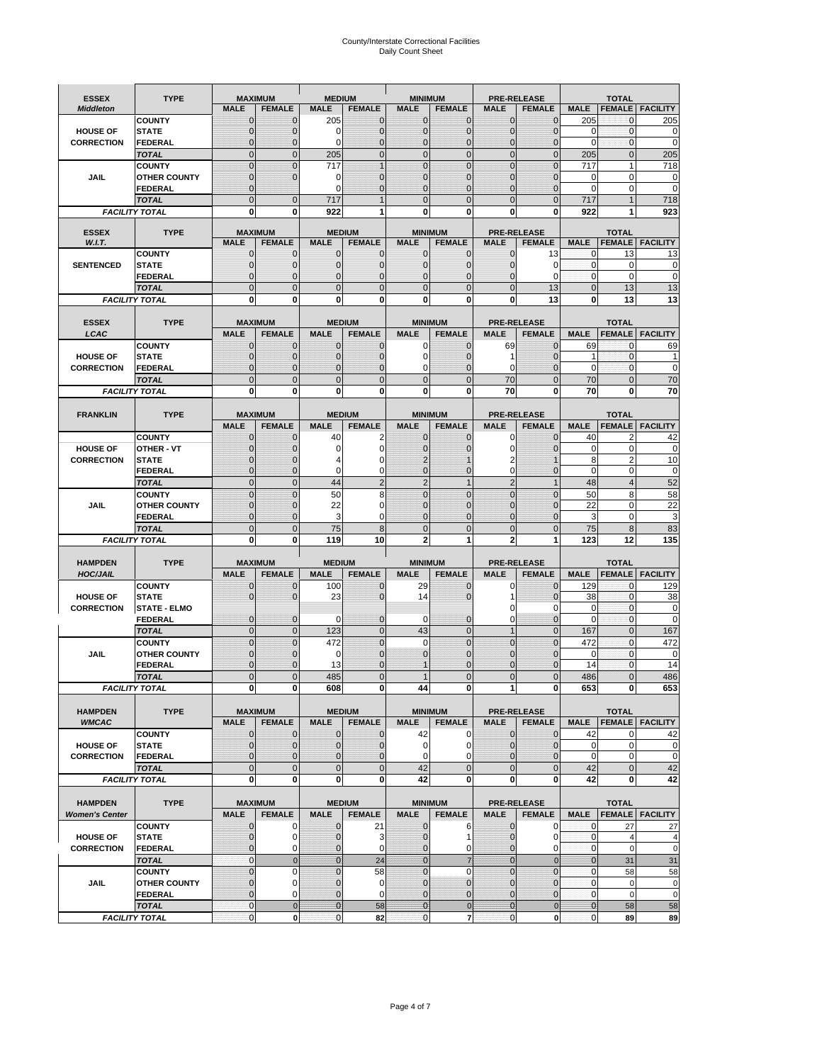# County/Interstate Correctional Facilities Daily Count Sheet

| <b>ESSEX</b>          | <b>TYPE</b>                        |                             | <b>MAXIMUM</b>                  | <b>MEDIUM</b>                |                  | <b>MINIMUM</b>               |                          |                              | <b>PRE-RELEASE</b>                  |                               | <b>TOTAL</b>                  |                          |
|-----------------------|------------------------------------|-----------------------------|---------------------------------|------------------------------|------------------|------------------------------|--------------------------|------------------------------|-------------------------------------|-------------------------------|-------------------------------|--------------------------|
| <b>Middleton</b>      |                                    | <b>MALE</b>                 | <b>FEMALE</b>                   | <b>MALE</b>                  | <b>FEMALE</b>    | <b>MALE</b>                  | <b>FEMALE</b>            | MALE                         | <b>FEMALE</b>                       | <b>MALE</b>                   | <b>FEMALE</b>                 | <b>FACILITY</b>          |
|                       | <b>COUNTY</b>                      | 0                           | 0                               | 205                          | 0                | $\mathbf 0$                  | $\mathbf{0}$             | 0                            | $\Omega$                            | 205                           | 0                             | 205                      |
| <b>HOUSE OF</b>       | <b>STATE</b>                       | 0                           | $\mathbf 0$                     | $\Omega$                     | 0                | $\mathbf{0}$                 | $\Omega$                 | $\mathbf 0$                  | $\Omega$                            | $\Omega$                      | $\Omega$                      | 0                        |
| <b>CORRECTION</b>     | <b>FEDERAL</b>                     | 0                           | $\mathbf 0$                     | 0                            | 0                | $\mathbf{0}$                 | $\mathbf 0$              | $\mathbf{0}$                 | $\mathbf 0$                         | $\mathbf 0$                   | $\mathbf{0}$                  | $\mathbf 0$              |
|                       | <b>TOTAL</b>                       | $\overline{0}$              | $\overline{0}$                  | 205                          | $\mathbf 0$      | $\mathbf 0$                  | $\overline{0}$           | $\mathbf 0$                  | $\overline{0}$                      | 205                           | $\mathbf{0}$                  | 205                      |
|                       | <b>COUNTY</b>                      | $\mathbf 0$                 | $\overline{0}$                  | 717                          | 1                | $\mathbf{0}$                 | $\Omega$                 | $\mathbf 0$                  | $\Omega$                            | 717                           | 1                             | 718                      |
| JAIL                  | <b>OTHER COUNTY</b>                | $\mathbf 0$<br>$\mathbf{0}$ | $\overline{0}$                  | 0<br>$\Omega$                | 0<br>$\Omega$    | $\mathbf{0}$<br>$\mathbf{0}$ | $\mathbf{0}$<br>$\Omega$ | $\mathbf 0$<br>$\mathbf{0}$  | $\mathcal{C}$<br>$\mathbf 0$        | 0<br>$\Omega$                 | $\mathbf 0$<br>$\mathbf 0$    | 0<br>$\mathbf 0$         |
|                       | <b>FEDERAL</b><br><b>TOTAL</b>     | $\overline{0}$              | $\mathbf 0$                     | 717                          |                  | $\Omega$                     | $\Omega$                 | $\overline{0}$               | $\Omega$                            | 717                           |                               | 718                      |
|                       | <b>FACILITY TOTAL</b>              | 0                           | 0                               | 922                          |                  | $\bf{0}$                     | 0                        | 0                            | 0                                   | 922                           |                               | 923                      |
|                       |                                    |                             |                                 |                              |                  |                              |                          |                              |                                     |                               |                               |                          |
| <b>ESSEX</b>          | <b>TYPE</b>                        |                             | <b>MAXIMUM</b>                  |                              | <b>MEDIUM</b>    |                              | <b>MINIMUM</b>           |                              | <b>PRE-RELEASE</b>                  |                               | <b>TOTAL</b>                  |                          |
| W.I.T.                |                                    | <b>MALE</b>                 | <b>FEMALE</b>                   | <b>MALE</b>                  | <b>FEMALE</b>    | <b>MALE</b>                  | <b>FEMALE</b>            | <b>MALE</b>                  | <b>FEMALE</b>                       | <b>MALE</b>                   | <b>FEMALE</b>                 | <b>FACILITY</b>          |
|                       | <b>COUNTY</b>                      | $\mathbf{0}$                | 0                               | $\mathbf 0$                  | 0                | $\mathbf 0$                  | $\mathbf{0}$             | 0                            | 13                                  | 0                             | 13                            | 13                       |
| <b>SENTENCED</b>      | <b>STATE</b><br><b>FEDERAL</b>     | 0<br>$\overline{0}$         | $\mathbf 0$<br>$\mathbf 0$      | $\mathbf{0}$<br>$\mathbf{0}$ | $\mathbf 0$<br>0 | $\mathbf{0}$<br>$\mathbf{0}$ | $\mathbf{0}$<br>0        | 0<br>$\mathbf 0$             | $\Omega$<br>$\Omega$                | $\mathbf 0$<br>$\mathbf{0}$   | $\mathbf 0$<br>$\Omega$       | 0<br>$\mathbf 0$         |
|                       | <b>TOTAL</b>                       | $\overline{0}$              | $\overline{0}$                  | $\mathbf 0$                  | $\overline{0}$   | $\mathbf{0}$                 | $\overline{0}$           | $\overline{0}$               | 13                                  | $\mathbf{0}$                  | 13                            | 13                       |
|                       | <b>FACILITY TOTAL</b>              | 0                           | 0                               | $\bf{0}$                     | O                | $\bf{0}$                     | 0                        | 0                            | 13                                  | $\bf{0}$                      | 13                            | 13                       |
|                       |                                    |                             |                                 |                              |                  |                              |                          |                              |                                     |                               |                               |                          |
| <b>ESSEX</b>          | <b>TYPE</b>                        |                             | <b>MAXIMUM</b>                  |                              | <b>MEDIUM</b>    |                              | <b>MINIMUM</b>           |                              | <b>PRE-RELEASE</b>                  |                               | <b>TOTAL</b>                  |                          |
| LCAC                  |                                    | <b>MALE</b>                 | <b>FEMALE</b>                   | <b>MALE</b>                  | <b>FEMALE</b>    | <b>MALE</b>                  | <b>FEMALE</b>            | <b>MALE</b>                  | <b>FEMALE</b>                       | <b>MALE</b>                   |                               | <b>FEMALE</b>   FACILITY |
|                       | <b>COUNTY</b>                      | 0                           | 0                               | $\mathbf{0}$                 | 0                | 0                            | $\mathbf{0}$             | 69                           | $\Omega$                            | 69                            | $\Omega$                      | 69                       |
| <b>HOUSE OF</b>       | <b>STATE</b>                       | 0                           | $\overline{0}$                  | $\mathbf 0$                  | 0                | $\mathbf 0$                  | $\Omega$                 | 1                            | $\sqrt{ }$                          | 1                             | $\mathbf{0}$                  |                          |
| <b>CORRECTION</b>     | FEDERAL                            | 0                           | 0                               | $\mathbf{0}$                 | 0                | 0                            | $\Omega$                 | 0                            | $\mathbf 0$                         | $\mathbf 0$                   | $\mathbf 0$                   | $\mathbf 0$              |
|                       | <b>TOTAL</b>                       | $\Omega$                    | $\overline{0}$                  | $\mathbf 0$                  | $\overline{0}$   | $\mathbf{0}$                 | $\Omega$                 | 70                           | $\Omega$                            | 70                            | $\Omega$                      | 70                       |
|                       | <b>FACILITY TOTAL</b>              | 0                           | 0                               | 0                            | 0                | $\bf{0}$                     | 0                        | 70                           | $\bf{0}$                            | 70                            | 0                             | 70                       |
|                       |                                    |                             |                                 |                              |                  |                              |                          |                              |                                     |                               |                               |                          |
| <b>FRANKLIN</b>       | <b>TYPE</b>                        |                             | <b>MAXIMUM</b>                  |                              | <b>MEDIUM</b>    |                              | <b>MINIMUM</b>           |                              | <b>PRE-RELEASE</b><br><b>FEMALE</b> |                               | <b>TOTAL</b>                  |                          |
|                       |                                    | <b>MALE</b>                 | <b>FEMALE</b>                   | <b>MALE</b>                  | <b>FEMALE</b>    | <b>MALE</b>                  | <b>FEMALE</b>            | <b>MALE</b>                  | $\Omega$                            | <b>MALE</b>                   | <b>FEMALE</b>                 | <b>FACILITY</b>          |
| <b>HOUSE OF</b>       | <b>COUNTY</b><br><b>OTHER - VT</b> | $\mathbf{0}$<br>0           | 0<br>$\overline{0}$             | 40<br>0                      | 2<br>0           | $\mathbf{0}$<br>$\mathbf{0}$ | 0                        | 0<br>$\mathbf 0$             | $\Omega$                            | 40<br>$\mathbf 0$             | $\overline{2}$<br>$\mathbf 0$ | 42<br>$\mathbf 0$        |
| <b>CORRECTION</b>     | <b>STATE</b>                       | $\Omega$                    | $\mathbf 0$                     |                              | 0                | $\overline{2}$               |                          | 2                            |                                     | 8                             | $\overline{2}$                | 10                       |
|                       | FEDERAL                            | $\mathbf{0}$                | $\overline{0}$                  | $\mathbf 0$                  | 0                | $\mathbf{0}$                 | $\mathbf{0}$             | $\mathbf 0$                  | $\overline{0}$                      | $\mathbf 0$                   | $\mathbf 0$                   | $\mathbf 0$              |
|                       | <b>TOTAL</b>                       | $\overline{0}$              | $\mathbf{0}$                    | 44                           | $\overline{2}$   | $\overline{2}$               | $\mathbf{1}$             | $\overline{2}$               | $\overline{1}$                      | 48                            | $\overline{4}$                | 52                       |
|                       | <b>COUNTY</b>                      | $\Omega$                    | $\overline{0}$                  | 50                           | 8                | $\Omega$                     | $\Omega$                 | $\mathbf 0$                  | $\Omega$                            | 50                            | 8                             | 58                       |
| JAIL                  | <b>OTHER COUNTY</b>                | 0                           | $\mathbf 0$                     | 22                           | 0                | $\Omega$                     | $\Omega$                 | $\mathbf 0$                  | $\sqrt{ }$                          | 22                            | $\mathbf 0$                   | 22                       |
|                       | <b>FEDERAL</b>                     | 0                           | 0                               | 3                            | 0                | $\mathbf{0}$                 | $\Omega$                 | 0                            | $\mathbf 0$                         | 3                             | $\mathbf 0$                   | 3                        |
|                       | <b>TOTAL</b>                       | $\mathbf{0}$                | $\overline{0}$                  | 75                           | 8                | $\mathbf{0}$                 | $\Omega$                 | $\overline{0}$               | $\Omega$                            | 75                            | 8                             | 83                       |
|                       | <b>FACILITY TOTAL</b>              | 0                           | 0                               | 119                          | 10               | $\overline{2}$               | 1                        | $\overline{2}$               | 1                                   | 123                           | 12                            | 135                      |
|                       |                                    |                             |                                 |                              |                  |                              |                          |                              |                                     |                               |                               |                          |
| <b>HAMPDEN</b>        | <b>TYPE</b>                        |                             | <b>MAXIMUM</b><br><b>FEMALE</b> | <b>MEDIUM</b>                | <b>FEMALE</b>    | <b>MINIMUM</b>               |                          |                              | <b>PRE-RELEASE</b>                  | <b>MALE</b>                   | <b>TOTAL</b>                  |                          |
| <b>HOC/JAIL</b>       | <b>COUNTY</b>                      | <b>MALE</b><br>0            | $\mathbf 0$                     | <b>MALE</b><br>100           | 0                | <b>MALE</b><br>29            | <b>FEMALE</b><br>0       | <b>MALE</b><br>0             | <b>FEMALE</b><br>$\mathbf 0$        | 129                           | <b>FEMALE</b><br>$\mathbf{0}$ | <b>FACILITY</b><br>129   |
| <b>HOUSE OF</b>       | <b>STATE</b>                       | 0                           | $\overline{0}$                  | 23                           | 0                | 14                           | $\Omega$                 | 1                            | $\Omega$                            | 38                            | $\Omega$                      | 38                       |
| <b>CORRECTION</b>     | <b>STATE - ELMO</b>                |                             |                                 |                              |                  |                              |                          | 0                            | 0                                   | $\mathbf 0$                   | $\mathbf{0}$                  | $\mathbf 0$              |
|                       | <b>FEDERAL</b>                     | $\mathbf{0}$                | $\mathbf 0$                     | $\Omega$                     | 0                | 0                            | $\mathbf{0}$             | $\mathbf 0$                  | 0                                   | $\Omega$                      | $\Omega$                      | 0                        |
|                       | <b>TOTAL</b>                       | $\overline{0}$              | $\overline{0}$                  | 123                          | $\overline{0}$   | 43                           | $\mathbf{0}$             | $\overline{1}$               | $\Omega$                            | 167                           | $\Omega$                      | 167                      |
|                       | <b>COUNTY</b>                      | $\overline{0}$              | $\overline{0}$                  | 472                          | 0                | $\mathbf 0$                  | $\overline{0}$           | $\overline{0}$               | $\overline{0}$                      | 472                           | $\mathbf{0}$                  | 472                      |
| <b>JAIL</b>           | <b>OTHER COUNTY</b>                | 0                           | $\mathbf 0$                     | 0                            | 0                | $\mathbf{0}$                 | $\Omega$                 | $\mathbf 0$                  | $\sqrt{ }$                          | $\mathbf 0$                   | $\mathbf 0$                   | 0                        |
|                       | <b>FEDERAL</b>                     | $\Omega$                    | $\mathbf 0$                     | 13                           | $\Omega$         | $\mathbf 1$                  | $\Omega$                 | $\mathbf 0$                  | $\Omega$                            | 14                            | $\Omega$                      | 14                       |
|                       | <b>TOTAL</b>                       | $\overline{0}$              | $\overline{0}$                  | 485                          | $\Omega$         | $\mathbf{1}$                 | $\overline{0}$           | $\overline{0}$               | $\Omega$                            | 486                           | $\Omega$                      | 486                      |
|                       | <b>FACILITY TOTAL</b>              | $\mathbf{0}$                | $\boldsymbol{0}$                | 608                          | o                | 44                           | 0                        | 1                            | 0                                   | 653                           | $\mathbf{0}$                  | 653                      |
| <b>HAMPDEN</b>        | <b>TYPE</b>                        |                             | <b>MAXIMUM</b>                  |                              | <b>MEDIUM</b>    |                              | <b>MINIMUM</b>           |                              | <b>PRE-RELEASE</b>                  |                               | <b>TOTAL</b>                  |                          |
| <b>WMCAC</b>          |                                    | <b>MALE</b>                 | <b>FEMALE</b>                   | <b>MALE</b>                  | <b>FEMALE</b>    | <b>MALE</b>                  | <b>FEMALE</b>            | <b>MALE</b>                  | <b>FEMALE</b>                       | <b>MALE</b>                   |                               | <b>FEMALE   FACILITY</b> |
|                       | <b>COUNTY</b>                      | $\mathbf 0$                 | $\mathbf{0}$                    | $\mathbf 0$                  | 0                | 42                           | 0                        | $\mathbf 0$                  | $\mathbf 0$                         | 42                            | 0                             | 42                       |
| <b>HOUSE OF</b>       | <b>STATE</b>                       | $\mathbf{0}$                | $\mathbf{0}$                    | $\overline{0}$               | 0                | $\mathbf 0$                  | 0                        | $\mathbf{0}$                 | 0                                   | $\mathbf 0$                   | $\mathbf 0$                   | 0                        |
| <b>CORRECTION</b>     | <b>FEDERAL</b>                     | $\mathbf{0}$                | 0                               | $\overline{0}$               | 0                | 0                            | $\Omega$                 | 0                            | 0                                   | $\mathbf 0$                   | $\mathbf 0$                   | $\pmb{0}$                |
|                       | <b>TOTAL</b>                       | $\mathbf{0}$                | $\overline{0}$                  | $\overline{0}$               | $\overline{0}$   | 42                           | $\mathbf{0}$             | $\mathbf 0$                  | $\mathbf 0$                         | 42                            | $\mathbf{0}$                  | 42                       |
|                       | <b>FACILITY TOTAL</b>              | $\bf{0}$                    | 0                               | $\mathbf{0}$                 | 0                | 42                           | 0                        | 0                            | $\bf{0}$                            | 42                            | 0                             | 42                       |
|                       |                                    |                             |                                 |                              |                  |                              |                          |                              |                                     |                               |                               |                          |
| <b>HAMPDEN</b>        | <b>TYPE</b>                        |                             | <b>MAXIMUM</b>                  |                              | <b>MEDIUM</b>    |                              | <b>MINIMUM</b>           |                              | <b>PRE-RELEASE</b>                  |                               | <b>TOTAL</b>                  |                          |
| <b>Women's Center</b> |                                    | <b>MALE</b>                 | <b>FEMALE</b>                   | <b>MALE</b>                  | <b>FEMALE</b>    | <b>MALE</b>                  | <b>FEMALE</b>            | <b>MALE</b>                  | <b>FEMALE</b>                       | <b>MALE</b>                   |                               | <b>FEMALE FACILITY</b>   |
|                       | <b>COUNTY</b>                      | 0                           | 0                               | $\mathbf 0$                  | 21               | $\mathbf 0$                  | 6                        | 0                            | 0                                   | 0                             | 27                            | 27                       |
| <b>HOUSE OF</b>       | <b>STATE</b>                       | $\mathbf{0}$                | $\mathbf 0$                     | $\mathbf{0}$                 | 3                | $\mathbf{0}$                 |                          | $\mathbf 0$                  | 0                                   | $\mathbf 0$<br>$\overline{0}$ | $\overline{4}$                | 4<br>$\mathbf 0$         |
| <b>CORRECTION</b>     | <b>FEDERAL</b><br><b>TOTAL</b>     | 0<br>0                      | 0<br>$\mathbf 0$                | 0<br>$\overline{0}$          | 0<br>24          | $\mathbf{0}$<br>$\mathbf{0}$ | 0<br>$\overline{7}$      | $\mathbf{0}$<br>$\mathbf{0}$ | 0<br>$\overline{0}$                 | $\mathbf{0}$                  | $\mathbf 0$<br>31             | 31                       |
|                       | <b>COUNTY</b>                      | $\overline{0}$              | $\mathbf 0$                     | $\mathbf{0}$                 | 58               | $\mathbf{0}$                 | $\mathbf 0$              | $\overline{0}$               | $\mathbf 0$                         | $\mathbf{0}$                  | 58                            | 58                       |
| JAIL                  | <b>OTHER COUNTY</b>                | 0                           | $\mathbf 0$                     | $\mathbf 0$                  | 0                | $\mathbf 0$                  | $\mathbf{0}$             | $\mathbf{0}$                 | 0                                   | $\mathbf 0$                   | $\mathbf 0$                   | 0                        |
|                       | <b>FEDERAL</b>                     | $\mathbf 0$                 | $\mathbf 0$                     | $\mathbf 0$                  | 0                | $\mathbf 0$                  | $\mathbf{0}$             | $\mathbf 0$                  | $\overline{0}$                      | $\mathbf 0$                   | $\mathbf 0$                   | $\mathbf 0$              |
|                       | <b>TOTAL</b>                       | $\mathbf 0$                 | $\mathbf 0$                     | $\overline{0}$               | 58               | $\overline{0}$               | $\mathbf 0$              | $\mathbf{0}$                 | $\mathbf 0$                         | $\mathbf{0}$                  | 58                            | 58                       |
|                       | <b>FACILITY TOTAL</b>              | $\pmb{0}$                   | $\mathbf 0$                     | $\mathbf{O}$                 | 82               | $\mathbf{0}$                 | $\overline{7}$           | $\mathbf 0$                  | $\mathbf{0}$                        | $\overline{0}$                | 89                            | 89                       |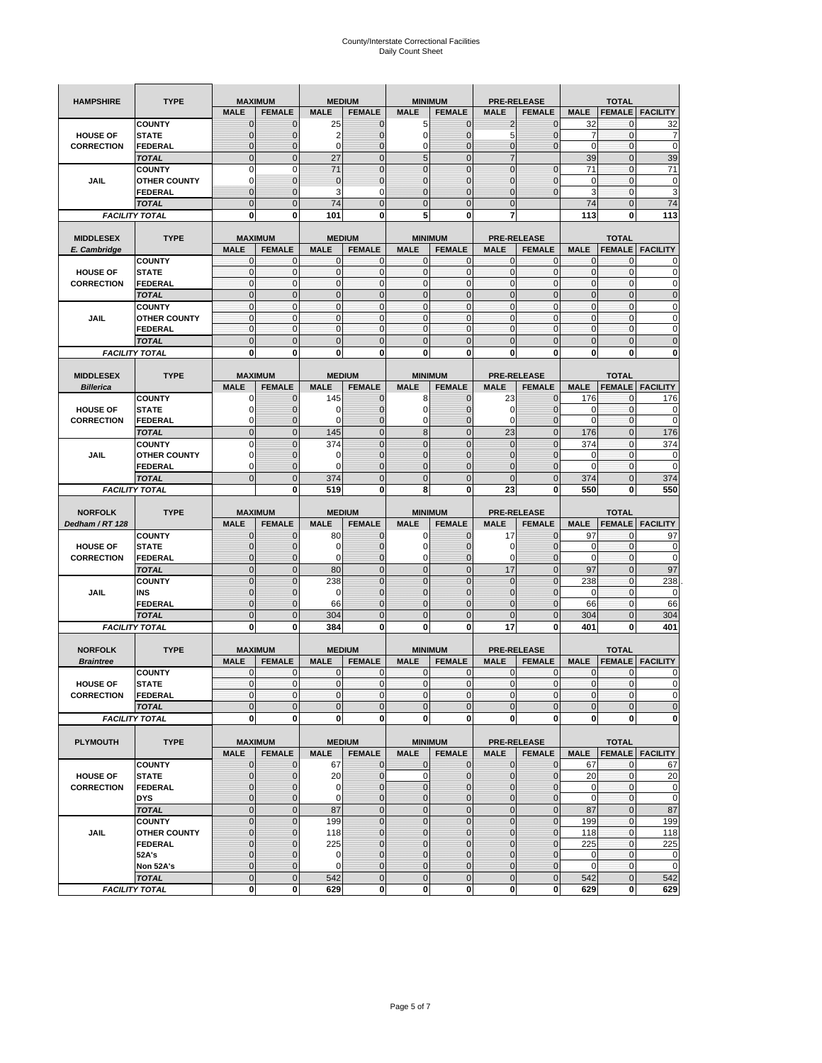| <b>HAMPSHIRE</b>                 | <b>TYPE</b>                           | <b>MAXIMUM</b>                |                                  |                | <b>MEDIUM</b>                  | <b>MINIMUM</b>                |                                |                             | <b>PRE-RELEASE</b>                  |                | <b>TOTAL</b>                  |                        |
|----------------------------------|---------------------------------------|-------------------------------|----------------------------------|----------------|--------------------------------|-------------------------------|--------------------------------|-----------------------------|-------------------------------------|----------------|-------------------------------|------------------------|
|                                  |                                       | <b>MALE</b>                   | <b>FEMALE</b>                    | <b>MALE</b>    | <b>FEMALE</b>                  | <b>MALE</b>                   | <b>FEMALE</b>                  | <b>MALE</b>                 | <b>FEMALE</b>                       | <b>MALE</b>    | <b>FEMALE</b>                 | <b>FACILITY</b>        |
|                                  | <b>COUNTY</b>                         | $\mathbf 0$                   | $\overline{0}$                   | 25             | $\mathbf 0$                    | 5                             | $\mathbf{0}$                   | $\overline{2}$              | $\overline{0}$                      | 32             | 0                             | 32                     |
| <b>HOUSE OF</b>                  | <b>STATE</b>                          | ∩                             | 0                                | $\overline{2}$ | $\mathbf{0}$                   | 0                             | $\mathbf 0$                    | 5                           | 0                                   | 7              | $\mathbf 0$                   | 7                      |
| <b>CORRECTION</b>                | <b>FEDERAL</b>                        | $\mathbf{0}$                  | 0                                | $\mathbf 0$    | $\mathbf{0}$                   | 0                             | $\mathbf{0}$                   | $\mathbf{0}$                | $\overline{0}$                      | $\mathbf 0$    | $\mathbf 0$                   | $\mathbf 0$            |
|                                  | <b>TOTAL</b>                          | $\overline{0}$                | $\mathbf 0$                      | 27             | $\overline{0}$                 | 5                             | $\overline{0}$                 | $\overline{7}$              |                                     | 39             | $\mathbf 0$                   | 39                     |
|                                  | <b>COUNTY</b>                         | $\Omega$                      | $\mathbf 0$                      | 71             | $\mathbf{0}$                   | $\overline{0}$                | $\mathbf 0$                    | $\mathbf{0}$                | $\mathbf 0$                         | 71             | $\mathbf 0$                   | 71                     |
| JAIL                             | <b>OTHER COUNTY</b>                   | 0                             | $\overline{0}$                   | $\overline{0}$ | $\mathbf{0}$                   | $\overline{0}$                | $\mathbf{0}$                   | 0                           | $\overline{0}$                      | $\mathbf 0$    | $\mathbf{0}$                  | $\pmb{0}$              |
|                                  | <b>FEDERAL</b>                        | $\mathbf{0}$                  | $\overline{0}$                   | 3              | 0                              | $\overline{0}$                | $\overline{0}$                 | $\mathbf{0}$                | $\overline{0}$                      | 3              | $\mathbf 0$                   | 3                      |
|                                  | <b>TOTAL</b>                          | $\Omega$                      | $\overline{0}$                   | 74             | $\mathbf{0}$                   | $\bf 0$                       | $\overline{0}$                 | $\mathbf{0}$                |                                     | 74             | $\mathbf 0$                   | 74                     |
|                                  | <b>FACILITY TOTAL</b>                 | $\bf{0}$                      | 0                                | 101            | 0                              | 5                             | 0                              | 7                           |                                     | 113            | 0                             | 113                    |
|                                  |                                       |                               |                                  |                |                                |                               |                                |                             |                                     |                |                               |                        |
| <b>MIDDLESEX</b><br>E. Cambridge | <b>TYPE</b>                           | <b>MAXIMUM</b><br><b>MALE</b> | <b>FEMALE</b>                    | <b>MALE</b>    | <b>MEDIUM</b><br><b>FEMALE</b> | <b>MINIMUM</b><br><b>MALE</b> | <b>FEMALE</b>                  | <b>MALE</b>                 | <b>PRE-RELEASE</b><br><b>FEMALE</b> | <b>MALE</b>    | <b>TOTAL</b><br><b>FEMALE</b> | <b>FACILITY</b>        |
|                                  | <b>COUNTY</b>                         | 0                             | $\mathbf 0$                      | 0              | 0                              | 0                             | $\mathbf{0}$                   | $\mathbf 0$                 | 0                                   | 0              | $\mathbf{0}$                  | 0                      |
| <b>HOUSE OF</b>                  | <b>STATE</b>                          | $\pmb{0}$                     | $\mathbf{0}$                     | $\mathbf 0$    | $\mathbf 0$                    | 0                             | $\mathbf{0}$                   | $\mathbf 0$                 | 0                                   | $\mathbf 0$    | $\mathbf 0$                   | $\mathbf 0$            |
| <b>CORRECTION</b>                | <b>FEDERAL</b>                        | $\mathbf{0}$                  | $\mathbf{0}$                     | $\mathbf 0$    | $\mathbf{0}$                   | $\mathbf{0}$                  | $\mathbf{0}$                   | $\mathbf{0}$                | $\mathbf 0$                         | $\mathbf 0$    | $\mathbf 0$                   | $\pmb{0}$              |
|                                  | <b>TOTAL</b>                          | $\mathbf{0}$                  | $\overline{0}$                   | $\overline{0}$ | $\mathbf{0}$                   | $\overline{0}$                | $\mathbf{0}$                   | $\mathbf{0}$                | $\overline{0}$                      | $\overline{0}$ | $\overline{0}$                | $\pmb{0}$              |
|                                  | <b>COUNTY</b>                         | $\mathbf{0}$                  | $\mathbf{0}$                     | $\mathbf 0$    | $\mathbf{0}$                   | $\mathbf{0}$                  | $\mathbf{0}$                   | $\mathbf{O}$                | $\overline{0}$                      | $\mathbf 0$    | $\mathbf 0$                   | $\pmb{0}$              |
| JAIL                             | <b>OTHER COUNTY</b>                   | $\Omega$                      | $\mathbf 0$                      | $\mathbf{0}$   | $\Omega$                       | $\mathbf{0}$                  | $\mathbf{0}$                   | $\mathbf{0}$                | $\overline{0}$                      | $\mathbf 0$    | $\mathbf{0}$                  | $\mathbf 0$            |
|                                  | <b>FEDERAL</b>                        | $\mathbf{0}$                  | $\mathbf 0$                      | $\mathbf 0$    | $\mathbf{0}$                   | 0                             | $\mathbf{0}$                   | $\mathbf{O}$                | 0                                   | $\mathbf 0$    | $\mathbf 0$                   | $\mathbf 0$            |
|                                  | <b>TOTAL</b>                          | $\mathbf{0}$                  | $\overline{0}$                   | $\overline{0}$ | $\mathbf{0}$                   | $\mathbf 0$                   | $\mathbf 0$                    | $\mathbf{0}$                | $\overline{0}$                      | $\mathbf 0$    | $\overline{0}$                | $\mathbf 0$            |
|                                  | <b>FACILITY TOTAL</b>                 | 0                             | 0                                | 0              | 0                              | 0                             | 0                              | 0                           | 0                                   | 0              | 0                             | $\bf{0}$               |
|                                  |                                       |                               |                                  |                |                                |                               |                                |                             |                                     |                |                               |                        |
| <b>MIDDLESEX</b>                 | <b>TYPE</b>                           | <b>MAXIMUM</b>                |                                  |                | <b>MEDIUM</b>                  | <b>MINIMUM</b>                |                                |                             | <b>PRE-RELEASE</b>                  |                | <b>TOTAL</b>                  |                        |
| <b>Billerica</b>                 |                                       | <b>MALE</b>                   | <b>FEMALE</b>                    | <b>MALE</b>    | <b>FEMALE</b>                  | <b>MALE</b>                   | <b>FEMALE</b>                  | <b>MALE</b>                 | <b>FEMALE</b>                       | <b>MALE</b>    | <b>FEMALE</b>                 | <b>FACILITY</b>        |
| <b>HOUSE OF</b>                  | <b>COUNTY</b><br><b>STATE</b>         | 0                             | $\overline{0}$<br>$\overline{0}$ | 145<br>0       | $\mathbf 0$<br>$\mathbf 0$     | 8<br>0                        | $\mathbf 0$<br>$\overline{0}$  | 23<br>0                     | $\overline{0}$<br>$\overline{0}$    | 176<br>0       | $\mathbf{0}$<br>$\mathbf 0$   | 176<br>0               |
| <b>CORRECTION</b>                | FEDERAL                               | $\Omega$                      | 0                                | 0              | $\mathbf{0}$                   | 0                             | $\mathbf{0}$                   | $\mathbf 0$                 | 0                                   | $\overline{0}$ | $\mathbf 0$                   | $\mathbf 0$            |
|                                  | <b>TOTAL</b>                          | $\mathbf{0}$                  | $\overline{0}$                   | 145            | $\mathbf{0}$                   | 8                             | $\mathbf{0}$                   | 23                          | $\overline{0}$                      | 176            | $\overline{0}$                | 176                    |
|                                  | <b>COUNTY</b>                         | $\Omega$                      | $\overline{0}$                   | 374            | $\mathbf{0}$                   | $\overline{0}$                | $\overline{0}$                 | $\mathbf{0}$                | $\overline{0}$                      | 374            | $\mathbf{0}$                  | 374                    |
| JAIL                             | <b>OTHER COUNTY</b>                   | $\Omega$                      | 0                                | 0              | $\overline{0}$                 | 0                             | $\mathbf{0}$                   | $\overline{0}$              | 0                                   | 0              | $\mathbf{0}$                  | 0                      |
|                                  | <b>FEDERAL</b>                        | 0                             | $\overline{0}$                   | $\mathbf 0$    | 0                              | $\overline{0}$                | $\overline{0}$                 | 0                           | $\overline{0}$                      | $\mathbf 0$    | $\mathbf{0}$                  | $\mathbf 0$            |
|                                  | <b>TOTAL</b>                          | $\Omega$                      | $\mathbf 0$                      | 374            | $\mathbf{0}$                   | $\mathbf 0$                   | $\mathbf 0$                    | $\mathbf{0}$                | $\overline{0}$                      | 374            | $\mathbf 0$                   | 374                    |
|                                  | <b>FACILITY TOTAL</b>                 |                               | $\mathbf 0$                      | 519            | $\bf{0}$                       | 8                             | 0                              | 23                          | 0                                   | 550            | $\bf{0}$                      | 550                    |
|                                  |                                       |                               |                                  |                |                                |                               |                                |                             |                                     |                |                               |                        |
|                                  |                                       |                               |                                  |                |                                |                               |                                |                             |                                     |                |                               |                        |
| <b>NORFOLK</b>                   | <b>TYPE</b>                           | <b>MAXIMUM</b>                |                                  |                | <b>MEDIUM</b>                  | <b>MINIMUM</b>                |                                |                             | <b>PRE-RELEASE</b>                  |                | <b>TOTAL</b>                  |                        |
| Dedham / RT 128                  |                                       | <b>MALE</b>                   | <b>FEMALE</b>                    | <b>MALE</b>    | <b>FEMALE</b>                  | <b>MALE</b>                   | <b>FEMALE</b>                  | <b>MALE</b>                 | <b>FEMALE</b>                       | <b>MALE</b>    | <b>FEMALE</b>                 | <b>FACILITY</b>        |
|                                  | <b>COUNTY</b>                         | $\Omega$                      | 0                                | 80             | 0                              | 0                             | $\mathbf 0$                    | 17                          | $\overline{0}$                      | 97             | 0                             | 97                     |
| <b>HOUSE OF</b>                  | <b>STATE</b>                          | $\Omega$                      | $\overline{0}$                   | 0              | $\mathbf{0}$                   | 0                             | $\overline{0}$                 | 0                           | $\overline{0}$                      | 0              | 0                             | $\mathbf 0$            |
| <b>CORRECTION</b>                | <b>FEDERAL</b>                        | $\Omega$                      | 0                                | 0              | $\mathbf{0}$                   | 0                             | $\mathbf 0$                    | 0                           | 0                                   | $\mathbf 0$    | $\mathbf 0$                   | $\mathbf 0$            |
|                                  | <b>TOTAL</b>                          | $\Omega$                      | $\overline{0}$                   | 80             | $\mathbf{0}$                   | $\mathbf 0$                   | $\mathbf 0$                    | 17                          | $\overline{0}$                      | 97             | $\mathbf 0$                   | 97                     |
|                                  | <b>COUNTY</b>                         | $\overline{0}$                | $\overline{0}$                   | 238            | $\mathbf{0}$                   | $\overline{0}$                | $\overline{0}$                 | $\mathbf{0}$                | $\overline{0}$                      | 238            | $\mathbf 0$                   | 238                    |
| JAIL                             | INS                                   | $\mathbf{0}$<br>$\Omega$      | 0<br>$\overline{0}$              | 0<br>66        | $\overline{0}$<br>$\mathbf 0$  | 0<br>$\overline{0}$           | $\mathbf{0}$<br>$\overline{0}$ | 0<br>0                      | 0<br>$\overline{0}$                 | 0<br>66        | 0<br>$\mathbf{0}$             | 0                      |
|                                  | <b>FEDERAL</b><br><b>TOTAL</b>        | $\mathbf 0$                   | $\overline{0}$                   | 304            | $\mathbf 0$                    | $\overline{0}$                | $\overline{0}$                 | $\Omega$                    | $\overline{0}$                      | 304            | $\overline{0}$                | 66                     |
|                                  | <b>FACILITY TOTAL</b>                 | $\mathbf 0$                   | $\mathbf 0$                      | 384            | 0                              | 0                             | 0                              | 17                          | 0                                   | 401            | $\bf{0}$                      | 304<br>401             |
|                                  |                                       |                               |                                  |                |                                |                               |                                |                             |                                     |                |                               |                        |
| <b>NORFOLK</b>                   | <b>TYPE</b>                           | <b>MAXIMUM</b>                |                                  |                | <b>MEDIUM</b>                  |                               | <b>MINIMUM</b>                 |                             | <b>PRE-RELEASE</b>                  |                | <b>TOTAL</b>                  |                        |
| <b>Braintree</b>                 |                                       | <b>MALE</b>                   | <b>FEMALE</b>                    | <b>MALE</b>    | <b>FEMALE</b>                  | <b>MALE</b>                   | <b>FEMALE</b>                  | <b>MALE</b>                 | <b>FEMALE</b>                       | <b>MALE</b>    | <b>FEMALE</b>                 | <b>FACILITY</b>        |
|                                  | <b>COUNTY</b>                         | $\mathbf 0$                   | $\mathbf 0$                      | 0              | $\mathbf 0$                    | 0                             | $\mathbf{0}$                   | $\mathbf 0$                 | $\mathbf 0$                         | 0              | 0                             | 0                      |
| <b>HOUSE OF</b>                  | <b>STATE</b>                          | $\mathbf{0}$                  | $\overline{0}$                   | $\mathbf 0$    | $\overline{0}$                 | $\overline{0}$                | $\mathbf{0}$                   | $\overline{0}$              | $\mathbf{0}$                        | $\mathbf{0}$   | 0                             | $\Omega$               |
| <b>CORRECTION</b>                | FEDERAL                               | $\mathbf 0$                   | 0                                | 0              | $\mathbf 0$                    | $\mathbf 0$                   | 0                              | $\mathbf 0$                 | $\mathbf 0$                         | $\pmb{0}$      | 0                             | $\mathbf 0$            |
|                                  | <b>TOTAL</b>                          | $\mathbf{0}$                  | $\mathbf{0}$                     | $\mathbf 0$    | $\mathbf{0}$                   | $\bf 0$                       | $\pmb{0}$                      | $\mathbf{0}$                | $\mathbf 0$                         | $\mathbf 0$    | $\mathbf 0$                   | $\mathbf 0$            |
|                                  | <b>FACILITY TOTAL</b>                 | $\mathbf{0}$                  | $\mathbf{0}$                     | 0              | $\mathbf{0}$                   | $\mathbf{0}$                  | $\bf{0}$                       | $\mathbf 0$                 | $\mathbf{0}$                        | $\mathbf 0$    | 0                             | $\mathbf 0$            |
|                                  |                                       |                               |                                  |                |                                |                               |                                |                             |                                     |                |                               |                        |
| <b>PLYMOUTH</b>                  | <b>TYPE</b>                           |                               | <b>MAXIMUM</b>                   |                | <b>MEDIUM</b>                  |                               | <b>MINIMUM</b>                 |                             | <b>PRE-RELEASE</b>                  |                | <b>TOTAL</b>                  |                        |
|                                  |                                       | <b>MALE</b>                   | <b>FEMALE</b>                    | <b>MALE</b>    | <b>FEMALE</b>                  | <b>MALE</b>                   | <b>FEMALE</b>                  | <b>MALE</b>                 | <b>FEMALE</b>                       | <b>MALE</b>    |                               | <b>FEMALE FACILITY</b> |
| <b>HOUSE OF</b>                  | <b>COUNTY</b><br><b>STATE</b>         | $\mathbf{0}$<br>$\mathbf{0}$  | $\mathbf{0}$<br>0                | 67<br>20       | $\mathbf{0}$<br>$\mathbf{0}$   | 0<br>0                        | $\mathbf{0}$<br>$\pmb{0}$      | $\mathbf{0}$<br>$\mathbf 0$ | $\overline{0}$<br>$\overline{0}$    | 67<br>20       | $\mathbf 0$<br>$\mathbf{0}$   | 67<br>20               |
| <b>CORRECTION</b>                | <b>FEDERAL</b>                        | $\Omega$                      | 0                                | 0              | $\mathbf{0}$                   | 0                             | $\mathbf{0}$                   | $\mathbf{0}$                | 0                                   | $\mathbf 0$    | $\mathbf{0}$                  | $\mathbf 0$            |
|                                  | <b>DYS</b>                            | $\mathbf{0}$                  | 0                                | $\mathbf 0$    | $\mathbf 0$                    | 0                             | $\pmb{0}$                      | $\mathbf 0$                 | $\overline{0}$                      | $\mathbf 0$    | $\mathbf{0}$                  | $\mathbf 0$            |
|                                  | <b>TOTAL</b>                          | $\mathbf 0$                   | $\mathbf 0$                      | 87             | $\mathbf 0$                    | $\mathbf 0$                   | $\mathbf 0$                    | $\mathbf 0$                 | $\mathbf 0$                         | 87             | $\pmb{0}$                     | 87                     |
|                                  | <b>COUNTY</b>                         | $\overline{0}$                | $\overline{0}$                   | 199            | $\pmb{0}$                      | $\mathbf 0$                   | $\mathbf 0$                    | $\mathbf 0$                 | $\mathbf 0$                         | 199            | $\mathbf{0}$                  | 199                    |
| JAIL                             | <b>OTHER COUNTY</b>                   | $\mathbf{0}$                  | 0                                | 118            | $\overline{0}$                 | 0                             | $\mathbf{0}$                   | 0                           | $\overline{0}$                      | 118            | $\mathbf{0}$                  | 118                    |
|                                  | <b>FEDERAL</b>                        | $\Omega$                      | 0                                | 225            | $\mathbf 0$                    | 0                             | $\mathbf{0}$                   | 0                           | 0                                   | 225            | $\mathbf 0$                   | 225                    |
|                                  | 52A's                                 | $\Omega$                      | $\overline{0}$                   | 0              | $\overline{0}$                 | $\overline{0}$                | $\mathbf 0$                    | $\overline{0}$              | $\overline{0}$                      | 0              | $\mathbf 0$                   | $\mathbf 0$            |
|                                  | Non 52A's                             | $\mathbf{0}$                  | 0                                | 0              | $\mathbf{0}$                   | 0                             | $\mathbf 0$                    | $\mathbf 0$                 | 0                                   | 0              | 0                             | $\mathbf 0$            |
|                                  | <b>TOTAL</b><br><b>FACILITY TOTAL</b> | $\overline{0}$<br>$\mathbf 0$ | $\overline{0}$<br>$\bf{0}$       | 542<br>629     | $\overline{0}$<br>$\mathbf{0}$ | $\overline{0}$<br>0           | $\mathbf{0}$<br>$\mathbf 0$    | $\mathbf{0}$<br>$\mathbf 0$ | $\mathbf 0$<br>$\mathbf{0}$         | 542<br>629     | $\mathbf 0$<br>0              | 542<br>629             |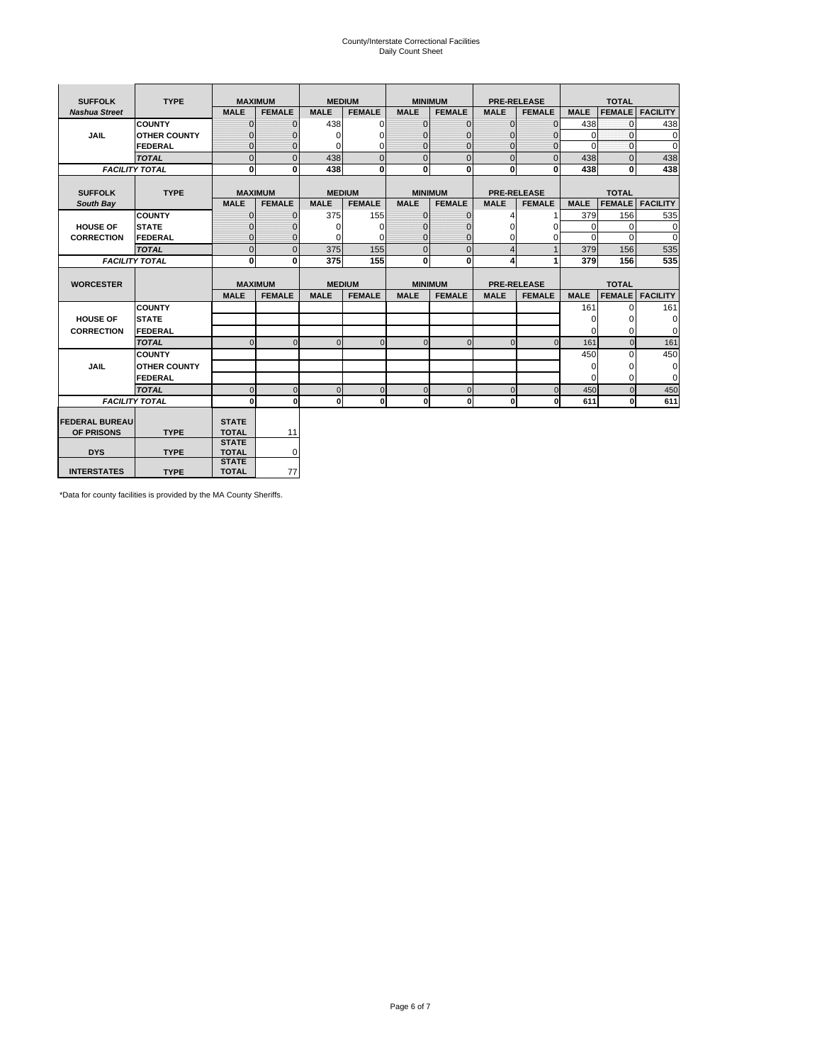# County/Interstate Correctional Facilities Daily Count Sheet

| <b>SUFFOLK</b>        | <b>TYPE</b>           |                              | <b>MAXIMUM</b> |               | <b>MEDIUM</b> |                | <b>MINIMUM</b> |                | <b>PRE-RELEASE</b> |             | <b>TOTAL</b>  |                 |
|-----------------------|-----------------------|------------------------------|----------------|---------------|---------------|----------------|----------------|----------------|--------------------|-------------|---------------|-----------------|
| <b>Nashua Street</b>  |                       | <b>MALE</b>                  | <b>FEMALE</b>  | <b>MALE</b>   | <b>FEMALE</b> | <b>MALE</b>    | <b>FEMALE</b>  | <b>MALE</b>    | <b>FEMALE</b>      | <b>MALE</b> | <b>FEMALE</b> | <b>FACILITY</b> |
|                       | <b>COUNTY</b>         | $\Omega$                     | $\mathbf{0}$   | 438           | $\Omega$      | $\mathbf{0}$   | $\Omega$       | $\mathbf{0}$   | $\Omega$           | 438         | $\Omega$      | 438             |
| JAIL                  | <b>OTHER COUNTY</b>   | $\Omega$                     | $\Omega$       | $\Omega$      | 0             | $\Omega$       | $\Omega$       | $\Omega$       | $\Omega$           | $\Omega$    | $\Omega$      | 0               |
|                       | <b>FEDERAL</b>        | $\mathbf{0}$                 | $\mathbf{0}$   | 0             | 0             | $\mathbf{0}$   | $\mathbf{0}$   | $\mathbf 0$    | $\mathbf{0}$       | $\Omega$    | 0             | 0               |
|                       | <b>TOTAL</b>          | $\Omega$                     | $\Omega$       | 438           | $\Omega$      | $\overline{0}$ | $\Omega$       | $\Omega$       | $\Omega$           | 438         | $\Omega$      | 438             |
|                       | <b>FACILITY TOTAL</b> | 0                            | $\mathbf{0}$   | 438           | 0             | $\mathbf{0}$   | $\bf{0}$       | $\mathbf{0}$   | 0                  | 438         | 0             | 438             |
|                       |                       |                              |                |               |               |                |                |                |                    |             |               |                 |
| <b>SUFFOLK</b>        | <b>TYPE</b>           |                              | <b>MAXIMUM</b> | <b>MEDIUM</b> |               |                | <b>MINIMUM</b> |                | <b>PRE-RELEASE</b> |             | <b>TOTAL</b>  |                 |
| South Bay             |                       | <b>MALE</b>                  | <b>FEMALE</b>  | <b>MALE</b>   | <b>FEMALE</b> | <b>MALE</b>    | <b>FEMALE</b>  | <b>MALE</b>    | <b>FEMALE</b>      | <b>MALE</b> | <b>FEMALE</b> | <b>FACILITY</b> |
|                       | <b>COUNTY</b>         | $\Omega$                     | $\mathbf{0}$   | 375           | 155           | $\mathbf{0}$   | $\mathbf{0}$   | 4              |                    | 379         | 156           | 535             |
| <b>HOUSE OF</b>       | <b>STATE</b>          |                              | $\overline{0}$ | $\Omega$      | $\Omega$      | $\Omega$       | O              | $\Omega$       | $\Omega$           | $\Omega$    | $\Omega$      | 0               |
| <b>CORRECTION</b>     | <b>FEDERAL</b>        | $\Omega$                     | $\overline{0}$ | 0             | $\Omega$      | $\mathbf{0}$   | $\Omega$       | $\Omega$       | 0                  | $\Omega$    | $\Omega$      | $\Omega$        |
|                       | <b>TOTAL</b>          | $\Omega$                     | $\overline{0}$ | 375           | 155           | $\mathbf 0$    | $\mathbf{0}$   | $\overline{4}$ | $\mathbf{1}$       | 379         | 156           | 535             |
|                       | <b>FACILITY TOTAL</b> | 0                            | 0              | 375           | 155           | $\mathbf{0}$   | 0              | 4              | 1                  | 379         | 156           | 535             |
|                       |                       |                              |                |               |               |                |                |                |                    |             |               |                 |
| <b>WORCESTER</b>      |                       |                              | <b>MAXIMUM</b> | <b>MEDIUM</b> |               |                | <b>MINIMUM</b> |                | <b>PRE-RELEASE</b> |             | <b>TOTAL</b>  |                 |
|                       |                       | <b>MALE</b>                  | <b>FEMALE</b>  | <b>MALE</b>   | <b>FEMALE</b> | <b>MALE</b>    | <b>FEMALE</b>  | <b>MALE</b>    | <b>FEMALE</b>      | <b>MALE</b> | <b>FEMALE</b> | <b>FACILITY</b> |
|                       | <b>COUNTY</b>         |                              |                |               |               |                |                |                |                    | 161         | $\Omega$      | 161             |
| <b>HOUSE OF</b>       | <b>STATE</b>          |                              |                |               |               |                |                |                |                    | 0           | 0             | 0               |
| <b>CORRECTION</b>     | FEDERAL               |                              |                |               |               |                |                |                |                    | $\Omega$    | $\Omega$      | 0               |
|                       | <b>TOTAL</b>          | $\Omega$                     | $\mathbf{0}$   | $\Omega$      | $\mathbf 0$   | $\mathbf{0}$   | $\mathbf{0}$   | $\mathbf{0}$   | $\Omega$           | 161         | $\mathbf{0}$  | 161             |
|                       | <b>COUNTY</b>         |                              |                |               |               |                |                |                |                    | 450         | $\Omega$      | 450             |
| <b>JAIL</b>           | <b>OTHER COUNTY</b>   |                              |                |               |               |                |                |                |                    | $\Omega$    | $\Omega$      | 0               |
|                       | FEDERAL               |                              |                |               |               |                |                |                |                    | $\Omega$    | $\Omega$      | $\mathbf 0$     |
|                       | <b>TOTAL</b>          | $\cap$                       | $\Omega$       | $\Omega$      | $\mathbf{0}$  | $\mathbf{0}$   | $\Omega$       | $\Omega$       | $\Omega$           | 450         | $\Omega$      | 450             |
|                       | <b>FACILITY TOTAL</b> | $\Omega$                     | 0              | $\Omega$      | 0             | $\mathbf{0}$   | $\bf{0}$       | $\mathbf 0$    | 0                  | 611         | O             | 611             |
|                       |                       |                              |                |               |               |                |                |                |                    |             |               |                 |
| <b>FEDERAL BUREAU</b> |                       | <b>STATE</b>                 |                |               |               |                |                |                |                    |             |               |                 |
| OF PRISONS            | <b>TYPE</b>           | <b>TOTAL</b>                 | 11             |               |               |                |                |                |                    |             |               |                 |
| <b>DYS</b>            | <b>TYPE</b>           | <b>STATE</b><br><b>TOTAL</b> | 0              |               |               |                |                |                |                    |             |               |                 |
|                       |                       | <b>STATE</b>                 |                |               |               |                |                |                |                    |             |               |                 |
| <b>INTERSTATES</b>    | <b>TYPE</b>           | <b>TOTAL</b>                 | 77             |               |               |                |                |                |                    |             |               |                 |

\*Data for county facilities is provided by the MA County Sheriffs.